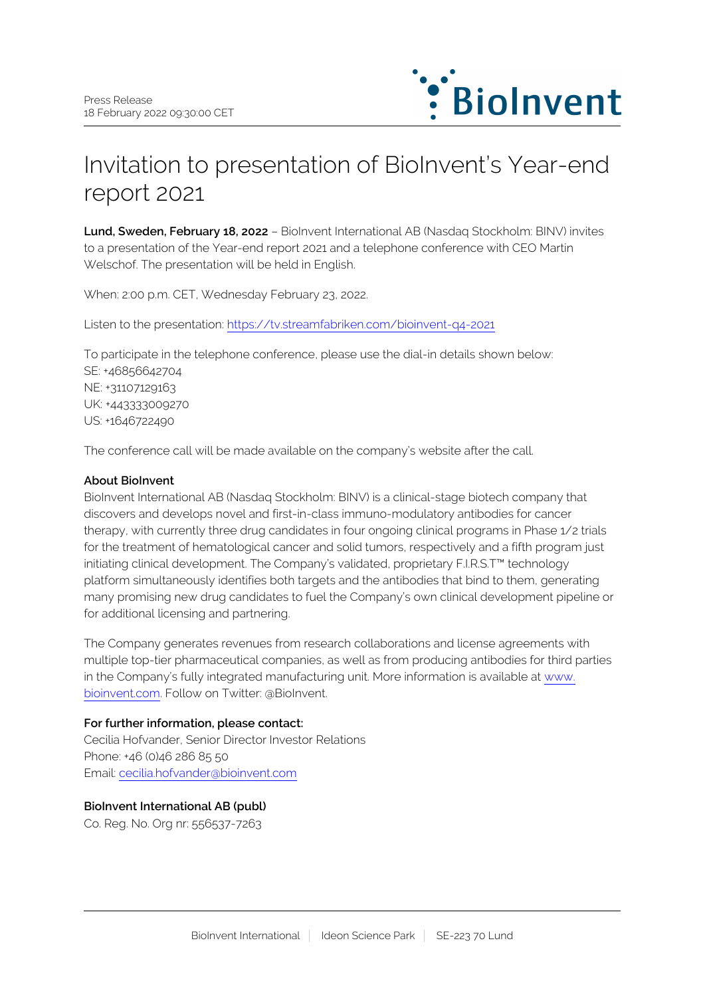

# Invitation to presentation of BioInvent's Year-end report 2021

**Lund, Sweden, February 18, 2022** – BioInvent International AB (Nasdaq Stockholm: BINV) invites to a presentation of the Year-end report 2021 and a telephone conference with CEO Martin Welschof. The presentation will be held in English.

When: 2:00 p.m. CET, Wednesday February 23, 2022.

Listen to the presentation: <https://tv.streamfabriken.com/bioinvent-q4-2021>

To participate in the telephone conference, please use the dial-in details shown below: SE: +46856642704 NE: +31107129163 UK: +443333009270 US: +1646722490

The conference call will be made available on the company's website after the call.

### **About BioInvent**

BioInvent International AB (Nasdaq Stockholm: BINV) is a clinical-stage biotech company that discovers and develops novel and first-in-class immuno-modulatory antibodies for cancer therapy, with currently three drug candidates in four ongoing clinical programs in Phase 1/2 trials for the treatment of hematological cancer and solid tumors, respectively and a fifth program just initiating clinical development. The Company's validated, proprietary F.I.R.S.T™ technology platform simultaneously identifies both targets and the antibodies that bind to them, generating many promising new drug candidates to fuel the Company's own clinical development pipeline or for additional licensing and partnering.

The Company generates revenues from research collaborations and license agreements with multiple top-tier pharmaceutical companies, as well as from producing antibodies for third parties in the Company's fully integrated manufacturing unit. More information is available at [www.](http://www.bioinvent.com/) [bioinvent.com](http://www.bioinvent.com/). Follow on Twitter: @BioInvent.

### **For further information, please contact:**

Cecilia Hofvander, Senior Director Investor Relations Phone: +46 (0)46 286 85 50 Email: [cecilia.hofvander@bioinvent.com](mailto:cecilia.hofvander@bioinvent.com)

## **BioInvent International AB (publ)**

Co. Reg. No. Org nr: 556537-7263